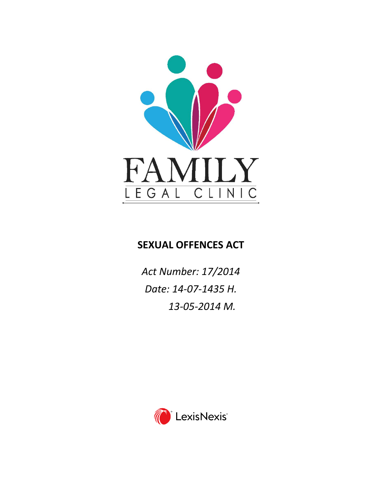

# **SEXUAL OFFENCES ACT**

*Act Number: 17/2014 Date: 14-07-1435 H. 13-05-2014 M.*

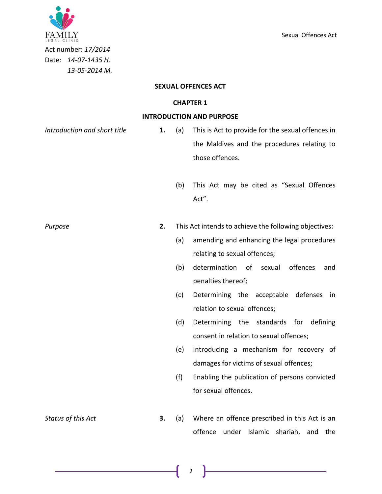

Act number: *17/2014* Date: *14-07-1435 H. 13-05-2014 M.*

#### **SEXUAL OFFENCES ACT**

#### **CHAPTER 1**

#### **INTRODUCTION AND PURPOSE**

- *Introduction and short title* **1.** (a) This is Act to provide for the sexual offences in the Maldives and the procedures relating to those offences.
	- (b) This Act may be cited as "Sexual Offences Act".

*Purpose* **2.** This Act intends to achieve the following objectives:

- (a) amending and enhancing the legal procedures relating to sexual offences;
- (b) determination of sexual offences and penalties thereof;
- (c) Determining the acceptable defenses in relation to sexual offences;
- (d) Determining the standards for defining consent in relation to sexual offences;
- (e) Introducing a mechanism for recovery of damages for victims of sexual offences;
- (f) Enabling the publication of persons convicted for sexual offences.
- *Status of this Act* **3.** (a) Where an offence prescribed in this Act is an offence under Islamic shariah, and the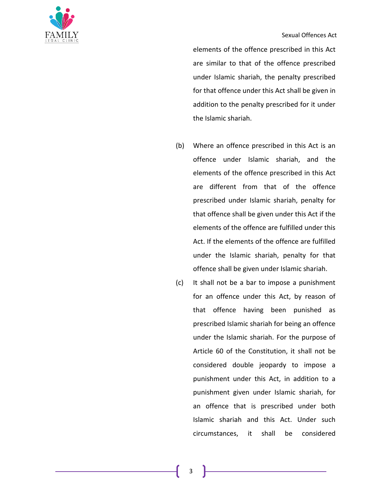

elements of the offence prescribed in this Act are similar to that of the offence prescribed under Islamic shariah, the penalty prescribed for that offence under this Act shall be given in addition to the penalty prescribed for it under the Islamic shariah.

- (b) Where an offence prescribed in this Act is an offence under Islamic shariah, and the elements of the offence prescribed in this Act are different from that of the offence prescribed under Islamic shariah, penalty for that offence shall be given under this Act if the elements of the offence are fulfilled under this Act. If the elements of the offence are fulfilled under the Islamic shariah, penalty for that offence shall be given under Islamic shariah.
- (c) It shall not be a bar to impose a punishment for an offence under this Act, by reason of that offence having been punished as prescribed Islamic shariah for being an offence under the Islamic shariah. For the purpose of Article 60 of the Constitution, it shall not be considered double jeopardy to impose a punishment under this Act, in addition to a punishment given under Islamic shariah, for an offence that is prescribed under both Islamic shariah and this Act. Under such circumstances, it shall be considered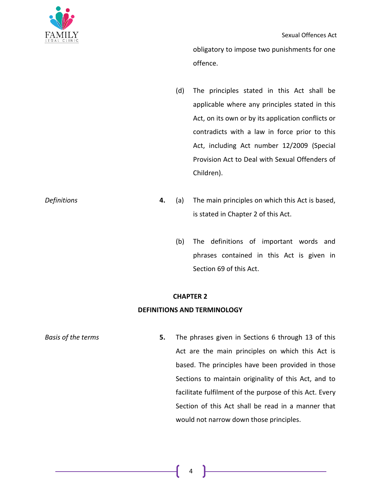obligatory to impose two punishments for one offence.

- (d) The principles stated in this Act shall be applicable where any principles stated in this Act, on its own or by its application conflicts or contradicts with a law in force prior to this Act, including Act number 12/2009 (Special Provision Act to Deal with Sexual Offenders of Children).
- *Definitions* **4.** (a) The main principles on which this Act is based, is stated in Chapter 2 of this Act.
	- (b) The definitions of important words and phrases contained in this Act is given in Section 69 of this Act.

### **CHAPTER 2**

### **DEFINITIONS AND TERMINOLOGY**

*Basis of the terms* **5.** The phrases given in Sections 6 through 13 of this Act are the main principles on which this Act is based. The principles have been provided in those Sections to maintain originality of this Act, and to facilitate fulfilment of the purpose of this Act. Every Section of this Act shall be read in a manner that would not narrow down those principles.

4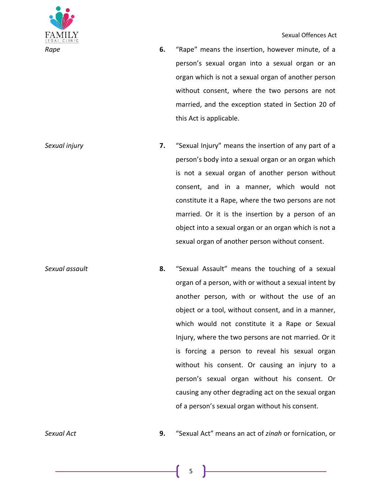- *Rape* **6.** "Rape" means the insertion, however minute, of a person's sexual organ into a sexual organ or an organ which is not a sexual organ of another person without consent, where the two persons are not married, and the exception stated in Section 20 of this Act is applicable.
- *Sexual injury* **7.** "Sexual Injury" means the insertion of any part of a person's body into a sexual organ or an organ which is not a sexual organ of another person without consent, and in a manner, which would not constitute it a Rape, where the two persons are not married. Or it is the insertion by a person of an object into a sexual organ or an organ which is not a sexual organ of another person without consent.
- *Sexual assault* **8.** "Sexual Assault" means the touching of a sexual organ of a person, with or without a sexual intent by another person, with or without the use of an object or a tool, without consent, and in a manner, which would not constitute it a Rape or Sexual Injury, where the two persons are not married. Or it is forcing a person to reveal his sexual organ without his consent. Or causing an injury to a person's sexual organ without his consent. Or causing any other degrading act on the sexual organ of a person's sexual organ without his consent.

*Sexual Act* **9.** "Sexual Act" means an act of *zinah* or fornication, or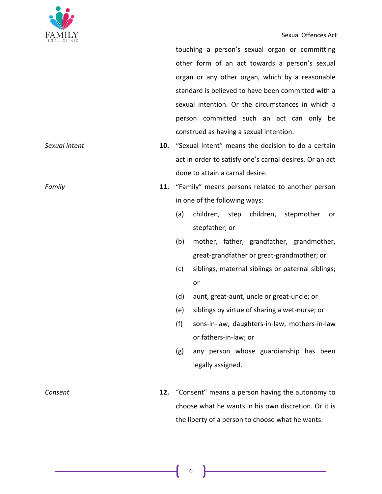

#### Sexual Offences Act

touching a person's sexual organ or committing other form of an act towards a person's sexual organ or any other organ, which by a reasonable standard is believed to have been committed with a sexual intention. Or the circumstances in which a person committed such an act can only be construed as having a sexual intention.

- *Sexual intent* **10.** "Sexual Intent" means the decision to do a certain act in order to satisfy one's carnal desires. Or an act done to attain a carnal desire.
- *Family* **11.** "Family" means persons related to another person in one of the following ways:
	- (a) children, step children, stepmother or stepfather; or
	- (b) mother, father, grandfather, grandmother, great-grandfather or great-grandmother; or
	- (c) siblings, maternal siblings or paternal siblings; or
	- (d) aunt, great-aunt, uncle or great-uncle; or
	- (e) siblings by virtue of sharing a wet-nurse; or
	- (f) sons-in-law, daughters-in-law, mothers-in-law or fathers-in-law; or
	- (g) any person whose guardianship has been legally assigned.
- *Consent* **12.** "Consent" means a person having the autonomy to choose what he wants in his own discretion. Or it is the liberty of a person to choose what he wants.

6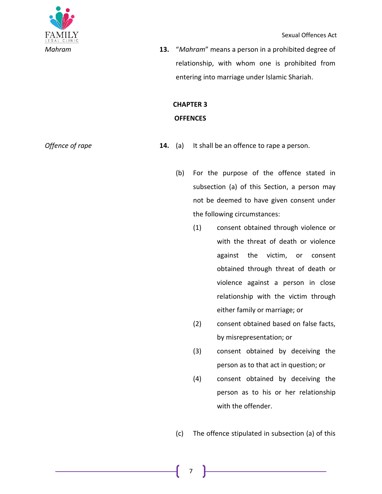

*Mahram* **13.** "*Mahram*" means a person in a prohibited degree of relationship, with whom one is prohibited from entering into marriage under Islamic Shariah.

## **CHAPTER 3 OFFENCES**

- *Offence of rape* **14.** (a) It shall be an offence to rape a person.
	- (b) For the purpose of the offence stated in subsection (a) of this Section, a person may not be deemed to have given consent under the following circumstances:
		- (1) consent obtained through violence or with the threat of death or violence against the victim, or consent obtained through threat of death or violence against a person in close relationship with the victim through either family or marriage; or
		- (2) consent obtained based on false facts, by misrepresentation; or
		- (3) consent obtained by deceiving the person as to that act in question; or
		- (4) consent obtained by deceiving the person as to his or her relationship with the offender.

(c) The offence stipulated in subsection (a) of this

7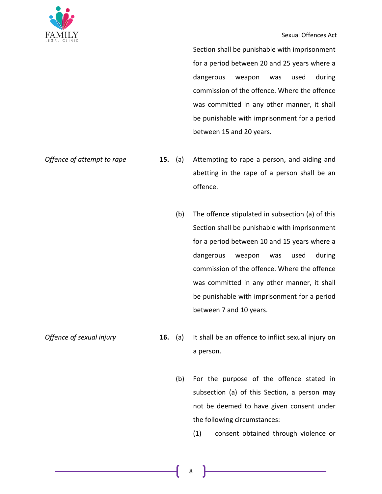

#### Sexual Offences Act

Section shall be punishable with imprisonment for a period between 20 and 25 years where a dangerous weapon was used during commission of the offence. Where the offence was committed in any other manner, it shall be punishable with imprisonment for a period between 15 and 20 years.

- *Offence of attempt to rape* **15.** (a) Attempting to rape a person, and aiding and abetting in the rape of a person shall be an offence.
	- (b) The offence stipulated in subsection (a) of this Section shall be punishable with imprisonment for a period between 10 and 15 years where a dangerous weapon was used during commission of the offence. Where the offence was committed in any other manner, it shall be punishable with imprisonment for a period between 7 and 10 years.

- *Offence of sexual injury* **16.** (a) It shall be an offence to inflict sexual injury on a person.
	- (b) For the purpose of the offence stated in subsection (a) of this Section, a person may not be deemed to have given consent under the following circumstances:
		- (1) consent obtained through violence or
		- 8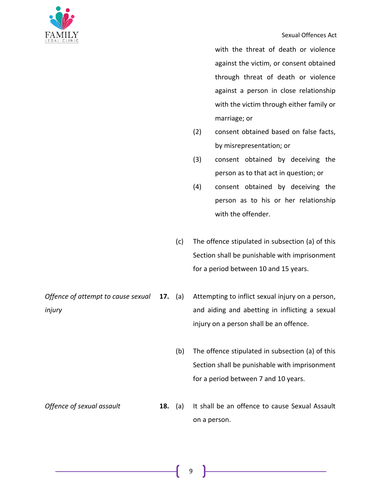

with the threat of death or violence against the victim, or consent obtained through threat of death or violence against a person in close relationship with the victim through either family or marriage; or

- (2) consent obtained based on false facts, by misrepresentation; or
- (3) consent obtained by deceiving the person as to that act in question; or
- (4) consent obtained by deceiving the person as to his or her relationship with the offender.
- (c) The offence stipulated in subsection (a) of this Section shall be punishable with imprisonment for a period between 10 and 15 years.

*Offence of attempt to cause sexual injury* **17.** (a) Attempting to inflict sexual injury on a person, and aiding and abetting in inflicting a sexual injury on a person shall be an offence.

- (b) The offence stipulated in subsection (a) of this Section shall be punishable with imprisonment for a period between 7 and 10 years.
- *Offence of sexual assault* **18.** (a) It shall be an offence to cause Sexual Assault on a person.

9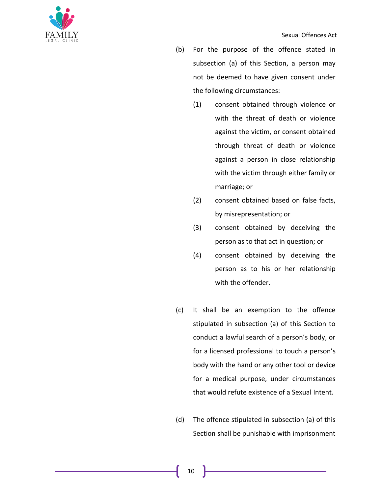

- (b) For the purpose of the offence stated in subsection (a) of this Section, a person may not be deemed to have given consent under the following circumstances:
	- (1) consent obtained through violence or with the threat of death or violence against the victim, or consent obtained through threat of death or violence against a person in close relationship with the victim through either family or marriage; or
	- (2) consent obtained based on false facts, by misrepresentation; or
	- (3) consent obtained by deceiving the person as to that act in question; or
	- (4) consent obtained by deceiving the person as to his or her relationship with the offender.
- (c) It shall be an exemption to the offence stipulated in subsection (a) of this Section to conduct a lawful search of a person's body, or for a licensed professional to touch a person's body with the hand or any other tool or device for a medical purpose, under circumstances that would refute existence of a Sexual Intent.
- (d) The offence stipulated in subsection (a) of this Section shall be punishable with imprisonment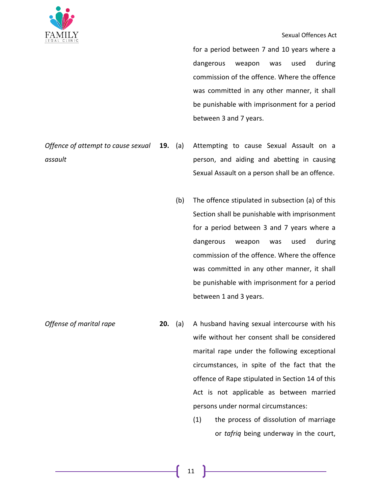

#### Sexual Offences Act

for a period between 7 and 10 years where a dangerous weapon was used during commission of the offence. Where the offence was committed in any other manner, it shall be punishable with imprisonment for a period between 3 and 7 years.

- *Offence of attempt to cause sexual assault* Attempting to cause Sexual Assault on a person, and aiding and abetting in causing Sexual Assault on a person shall be an offence.
	- (b) The offence stipulated in subsection (a) of this Section shall be punishable with imprisonment for a period between 3 and 7 years where a dangerous weapon was used during commission of the offence. Where the offence was committed in any other manner, it shall be punishable with imprisonment for a period between 1 and 3 years.
- *Offense of marital rape* **20.** (a) A husband having sexual intercourse with his wife without her consent shall be considered marital rape under the following exceptional circumstances, in spite of the fact that the offence of Rape stipulated in Section 14 of this Act is not applicable as between married persons under normal circumstances:
	- (1) the process of dissolution of marriage or *tafriq* being underway in the court,

11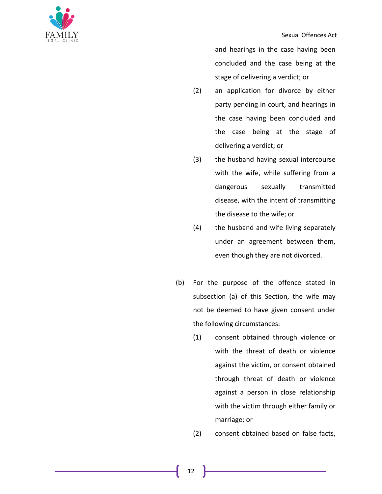

and hearings in the case having been concluded and the case being at the stage of delivering a verdict; or

- (2) an application for divorce by either party pending in court, and hearings in the case having been concluded and the case being at the stage of delivering a verdict; or
- (3) the husband having sexual intercourse with the wife, while suffering from a dangerous sexually transmitted disease, with the intent of transmitting the disease to the wife; or
- (4) the husband and wife living separately under an agreement between them, even though they are not divorced.
- (b) For the purpose of the offence stated in subsection (a) of this Section, the wife may not be deemed to have given consent under the following circumstances:
	- (1) consent obtained through violence or with the threat of death or violence against the victim, or consent obtained through threat of death or violence against a person in close relationship with the victim through either family or marriage; or
	- (2) consent obtained based on false facts,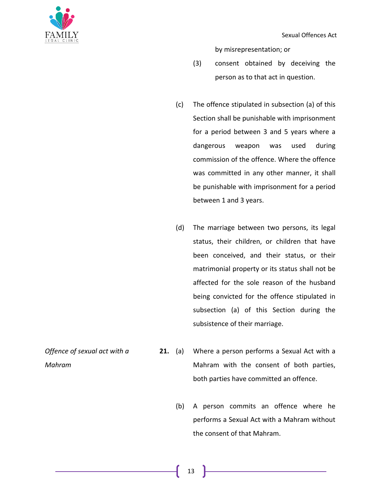

by misrepresentation; or

- (3) consent obtained by deceiving the person as to that act in question.
- (c) The offence stipulated in subsection (a) of this Section shall be punishable with imprisonment for a period between 3 and 5 years where a dangerous weapon was used during commission of the offence. Where the offence was committed in any other manner, it shall be punishable with imprisonment for a period between 1 and 3 years.
- (d) The marriage between two persons, its legal status, their children, or children that have been conceived, and their status, or their matrimonial property or its status shall not be affected for the sole reason of the husband being convicted for the offence stipulated in subsection (a) of this Section during the subsistence of their marriage.
- *Offence of sexual act with a Mahram*
- **21.** (a) Where a person performs a Sexual Act with a Mahram with the consent of both parties, both parties have committed an offence.
	- (b) A person commits an offence where he performs a Sexual Act with a Mahram without the consent of that Mahram.

13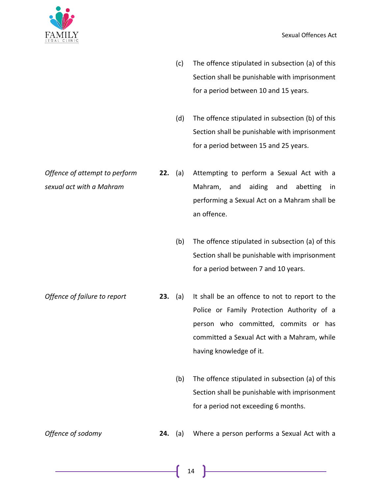

- (c) The offence stipulated in subsection (a) of this Section shall be punishable with imprisonment for a period between 10 and 15 years.
- (d) The offence stipulated in subsection (b) of this Section shall be punishable with imprisonment for a period between 15 and 25 years.
- *Offence of attempt to perform sexual act with a Mahram* **22.** (a) Attempting to perform a Sexual Act with a Mahram, and aiding and abetting in performing a Sexual Act on a Mahram shall be an offence.
	- (b) The offence stipulated in subsection (a) of this Section shall be punishable with imprisonment for a period between 7 and 10 years.

*Offence of failure to report* **23.** (a) It shall be an offence to not to report to the Police or Family Protection Authority of a person who committed, commits or has committed a Sexual Act with a Mahram, while having knowledge of it.

> (b) The offence stipulated in subsection (a) of this Section shall be punishable with imprisonment for a period not exceeding 6 months.

*Offence of sodomy* **24.** (a) Where a person performs a Sexual Act with a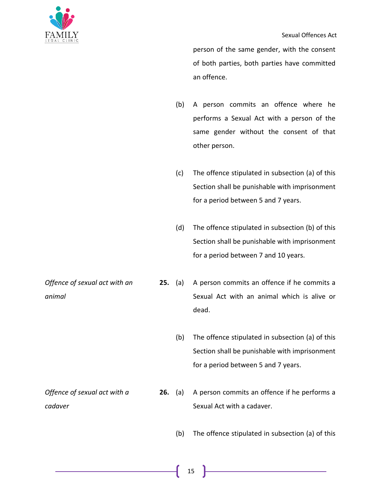*animal*

person of the same gender, with the consent of both parties, both parties have committed an offence.

- (b) A person commits an offence where he performs a Sexual Act with a person of the same gender without the consent of that other person.
- (c) The offence stipulated in subsection (a) of this Section shall be punishable with imprisonment for a period between 5 and 7 years.
- (d) The offence stipulated in subsection (b) of this Section shall be punishable with imprisonment for a period between 7 and 10 years.

*Offence of sexual act with an*  **25.** (a) A person commits an offence if he commits a Sexual Act with an animal which is alive or dead.

- (b) The offence stipulated in subsection (a) of this Section shall be punishable with imprisonment for a period between 5 and 7 years.
- *Offence of sexual act with a cadaver* **26.** (a) A person commits an offence if he performs a Sexual Act with a cadaver.
	- (b) The offence stipulated in subsection (a) of this
		- 15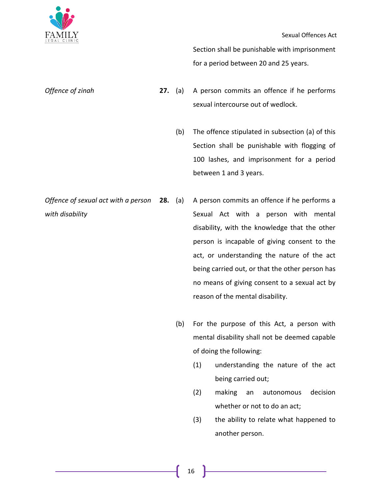

Section shall be punishable with imprisonment for a period between 20 and 25 years.

- *Offence of zinah* **27.** (a) A person commits an offence if he performs sexual intercourse out of wedlock.
	- (b) The offence stipulated in subsection (a) of this Section shall be punishable with flogging of 100 lashes, and imprisonment for a period between 1 and 3 years.
- *Offence of sexual act with a person with disability* A person commits an offence if he performs a Sexual Act with a person with mental disability, with the knowledge that the other person is incapable of giving consent to the act, or understanding the nature of the act being carried out, or that the other person has no means of giving consent to a sexual act by reason of the mental disability.
	- (b) For the purpose of this Act, a person with mental disability shall not be deemed capable of doing the following:
		- (1) understanding the nature of the act being carried out;
		- (2) making an autonomous decision whether or not to do an act;
		- (3) the ability to relate what happened to another person.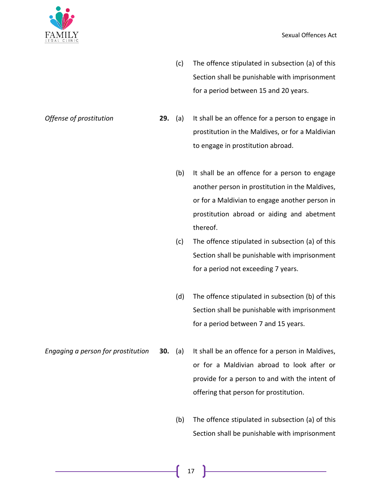

(c) The offence stipulated in subsection (a) of this Section shall be punishable with imprisonment for a period between 15 and 20 years.

- *Offense of prostitution* **29.** (a) It shall be an offence for a person to engage in prostitution in the Maldives, or for a Maldivian to engage in prostitution abroad.
	- (b) It shall be an offence for a person to engage another person in prostitution in the Maldives, or for a Maldivian to engage another person in prostitution abroad or aiding and abetment thereof.
	- (c) The offence stipulated in subsection (a) of this Section shall be punishable with imprisonment for a period not exceeding 7 years.
	- (d) The offence stipulated in subsection (b) of this Section shall be punishable with imprisonment for a period between 7 and 15 years.
- *Engaging a person for prostitution* **30.** (a) It shall be an offence for a person in Maldives, or for a Maldivian abroad to look after or provide for a person to and with the intent of offering that person for prostitution.
	- (b) The offence stipulated in subsection (a) of this Section shall be punishable with imprisonment
		- 17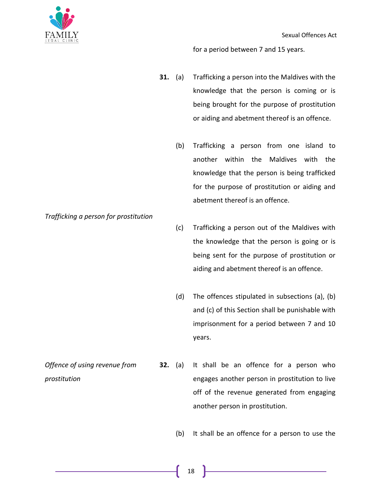



for a period between 7 and 15 years.

- **31.** (a) Trafficking a person into the Maldives with the knowledge that the person is coming or is being brought for the purpose of prostitution or aiding and abetment thereof is an offence.
	- (b) Trafficking a person from one island to another within the Maldives with the knowledge that the person is being trafficked for the purpose of prostitution or aiding and abetment thereof is an offence.

*Trafficking a person for prostitution*

- (c) Trafficking a person out of the Maldives with the knowledge that the person is going or is being sent for the purpose of prostitution or aiding and abetment thereof is an offence.
- (d) The offences stipulated in subsections (a), (b) and (c) of this Section shall be punishable with imprisonment for a period between 7 and 10 years.
- *Offence of using revenue from prostitution* **32.** (a) It shall be an offence for a person who engages another person in prostitution to live off of the revenue generated from engaging another person in prostitution.
	- (b) It shall be an offence for a person to use the
		- 18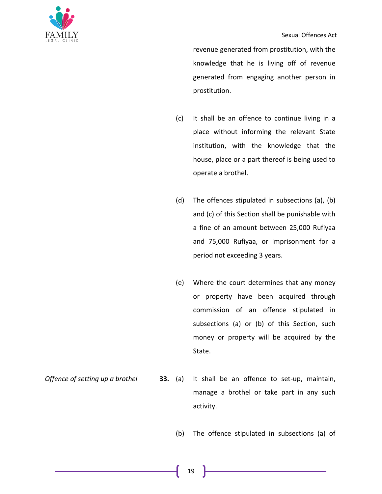

revenue generated from prostitution, with the knowledge that he is living off of revenue generated from engaging another person in prostitution.

- (c) It shall be an offence to continue living in a place without informing the relevant State institution, with the knowledge that the house, place or a part thereof is being used to operate a brothel.
- (d) The offences stipulated in subsections (a), (b) and (c) of this Section shall be punishable with a fine of an amount between 25,000 Rufiyaa and 75,000 Rufiyaa, or imprisonment for a period not exceeding 3 years.
- (e) Where the court determines that any money or property have been acquired through commission of an offence stipulated in subsections (a) or (b) of this Section, such money or property will be acquired by the State.

*Offence of setting up a brothel* **33.** (a) It shall be an offence to set-up, maintain, manage a brothel or take part in any such activity.

(b) The offence stipulated in subsections (a) of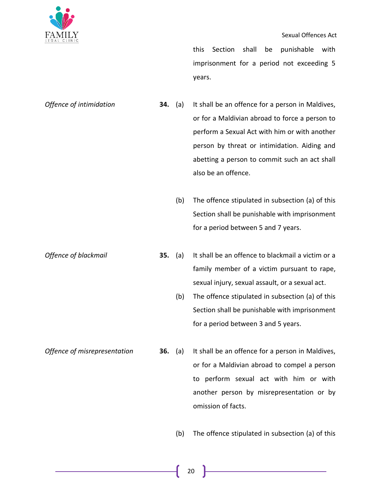

this Section shall be punishable with imprisonment for a period not exceeding 5 years.

*Offence of intimidation* **34.** (a) It shall be an offence for a person in Maldives, or for a Maldivian abroad to force a person to perform a Sexual Act with him or with another person by threat or intimidation. Aiding and abetting a person to commit such an act shall also be an offence.

- (b) The offence stipulated in subsection (a) of this Section shall be punishable with imprisonment for a period between 5 and 7 years.
- *Offence of blackmail* **35.** (a) It shall be an offence to blackmail a victim or a family member of a victim pursuant to rape, sexual injury, sexual assault, or a sexual act.
	- (b) The offence stipulated in subsection (a) of this Section shall be punishable with imprisonment for a period between 3 and 5 years.
- *Offence of misrepresentation* **36.** (a) It shall be an offence for a person in Maldives, or for a Maldivian abroad to compel a person to perform sexual act with him or with another person by misrepresentation or by omission of facts.
	- (b) The offence stipulated in subsection (a) of this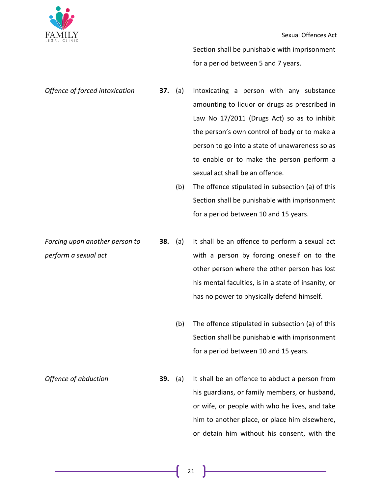

Section shall be punishable with imprisonment for a period between 5 and 7 years.

*Offence of forced intoxication* **37.** (a) Intoxicating a person with any substance amounting to liquor or drugs as prescribed in Law No 17/2011 (Drugs Act) so as to inhibit the person's own control of body or to make a person to go into a state of unawareness so as to enable or to make the person perform a sexual act shall be an offence.

(b) The offence stipulated in subsection (a) of this Section shall be punishable with imprisonment for a period between 10 and 15 years.

*Forcing upon another person to perform a sexual act*

- **38.** (a) It shall be an offence to perform a sexual act with a person by forcing oneself on to the other person where the other person has lost his mental faculties, is in a state of insanity, or has no power to physically defend himself.
	- (b) The offence stipulated in subsection (a) of this Section shall be punishable with imprisonment for a period between 10 and 15 years.

*Offence of abduction* **39.** (a) It shall be an offence to abduct a person from his guardians, or family members, or husband, or wife, or people with who he lives, and take him to another place, or place him elsewhere, or detain him without his consent, with the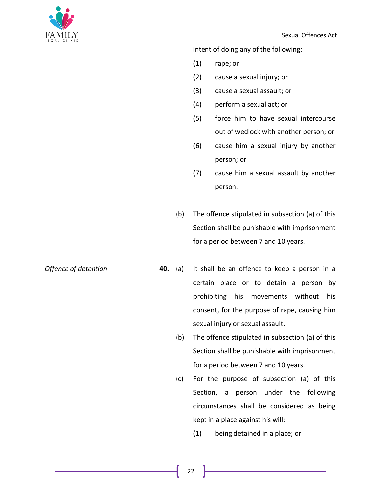

intent of doing any of the following:

- (1) rape; or
- (2) cause a sexual injury; or
- (3) cause a sexual assault; or
- (4) perform a sexual act; or
- (5) force him to have sexual intercourse out of wedlock with another person; or
- (6) cause him a sexual injury by another person; or
- (7) cause him a sexual assault by another person.
- (b) The offence stipulated in subsection (a) of this Section shall be punishable with imprisonment for a period between 7 and 10 years.
- *Offence of detention* **40.** (a) It shall be an offence to keep a person in a certain place or to detain a person by prohibiting his movements without his consent, for the purpose of rape, causing him sexual injury or sexual assault.
	- (b) The offence stipulated in subsection (a) of this Section shall be punishable with imprisonment for a period between 7 and 10 years.
	- (c) For the purpose of subsection (a) of this Section, a person under the following circumstances shall be considered as being kept in a place against his will:
		- (1) being detained in a place; or

22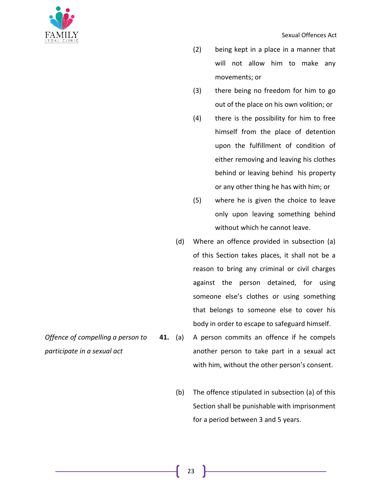

- (2) being kept in a place in a manner that will not allow him to make any movements; or
- (3) there being no freedom for him to go out of the place on his own volition; or
- (4) there is the possibility for him to free himself from the place of detention upon the fulfillment of condition of either removing and leaving his clothes behind or leaving behind his property or any other thing he has with him; or
- (5) where he is given the choice to leave only upon leaving something behind without which he cannot leave.
- (d) Where an offence provided in subsection (a) of this Section takes places, it shall not be a reason to bring any criminal or civil charges against the person detained, for using someone else's clothes or using something that belongs to someone else to cover his body in order to escape to safeguard himself.
- *Offence of compelling a person to*  **41.** (a) A person commits an offence if he compels another person to take part in a sexual act with him, without the other person's consent.
	- (b) The offence stipulated in subsection (a) of this Section shall be punishable with imprisonment for a period between 3 and 5 years.
- *participate in a sexual act*

23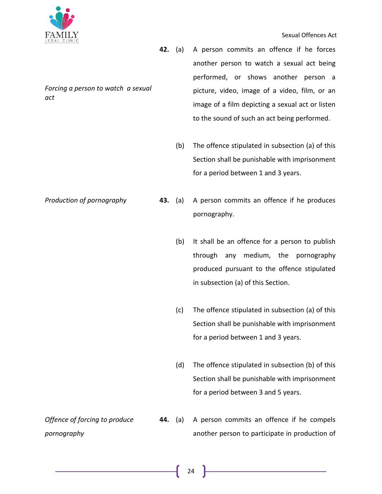

#### Sexual Offences Act

- **42.** (a) A person commits an offence if he forces another person to watch a sexual act being performed, or shows another person a picture, video, image of a video, film, or an image of a film depicting a sexual act or listen to the sound of such an act being performed.
	- (b) The offence stipulated in subsection (a) of this Section shall be punishable with imprisonment for a period between 1 and 3 years.
- *Production of pornography* **43.** (a) A person commits an offence if he produces pornography.
	- (b) It shall be an offence for a person to publish through any medium, the pornography produced pursuant to the offence stipulated in subsection (a) of this Section.
	- (c) The offence stipulated in subsection (a) of this Section shall be punishable with imprisonment for a period between 1 and 3 years.
	- (d) The offence stipulated in subsection (b) of this Section shall be punishable with imprisonment for a period between 3 and 5 years.
- *Offence of forcing to produce pornography* **44.** (a) A person commits an offence if he compels another person to participate in production of

*Forcing a person to watch a sexual act*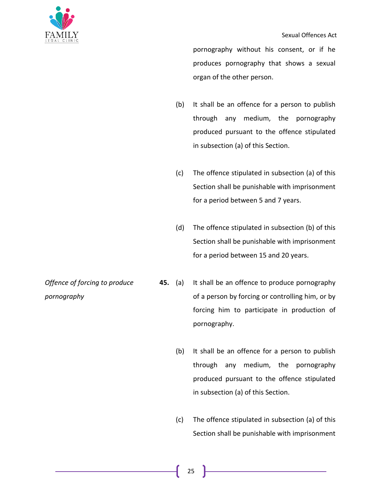pornography without his consent, or if he produces pornography that shows a sexual organ of the other person.

- (b) It shall be an offence for a person to publish through any medium, the pornography produced pursuant to the offence stipulated in subsection (a) of this Section.
- (c) The offence stipulated in subsection (a) of this Section shall be punishable with imprisonment for a period between 5 and 7 years.
- (d) The offence stipulated in subsection (b) of this Section shall be punishable with imprisonment for a period between 15 and 20 years.
- **45.** (a) It shall be an offence to produce pornography of a person by forcing or controlling him, or by forcing him to participate in production of pornography.
	- (b) It shall be an offence for a person to publish through any medium, the pornography produced pursuant to the offence stipulated in subsection (a) of this Section.
	- (c) The offence stipulated in subsection (a) of this Section shall be punishable with imprisonment

*Offence of forcing to produce pornography*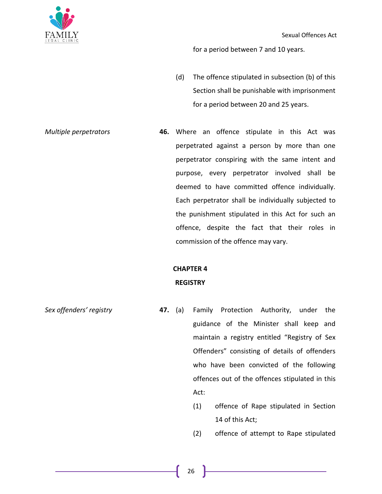

for a period between 7 and 10 years.

(d) The offence stipulated in subsection (b) of this Section shall be punishable with imprisonment for a period between 20 and 25 years.

*Multiple perpetrators* **46.** Where an offence stipulate in this Act was perpetrated against a person by more than one perpetrator conspiring with the same intent and purpose, every perpetrator involved shall be deemed to have committed offence individually. Each perpetrator shall be individually subjected to the punishment stipulated in this Act for such an offence, despite the fact that their roles in commission of the offence may vary.

### **CHAPTER 4**

### **REGISTRY**

- *Sex offenders' registry* **47.** (a) Family Protection Authority, under the guidance of the Minister shall keep and maintain a registry entitled "Registry of Sex Offenders" consisting of details of offenders who have been convicted of the following offences out of the offences stipulated in this Act:
	- (1) offence of Rape stipulated in Section 14 of this Act;
	- (2) offence of attempt to Rape stipulated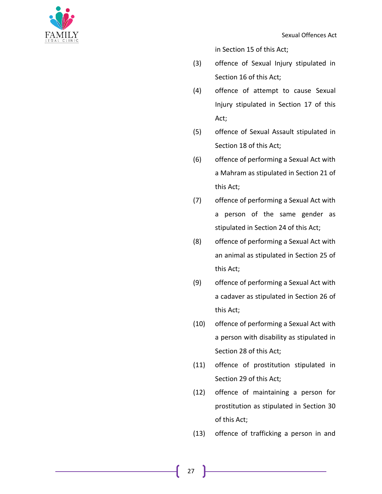

in Section 15 of this Act;

- (3) offence of Sexual Injury stipulated in Section 16 of this Act;
- (4) offence of attempt to cause Sexual Injury stipulated in Section 17 of this Act;
- (5) offence of Sexual Assault stipulated in Section 18 of this Act;
- (6) offence of performing a Sexual Act with a Mahram as stipulated in Section 21 of this Act;
- (7) offence of performing a Sexual Act with a person of the same gender as stipulated in Section 24 of this Act;
- (8) offence of performing a Sexual Act with an animal as stipulated in Section 25 of this Act;
- (9) offence of performing a Sexual Act with a cadaver as stipulated in Section 26 of this Act;
- (10) offence of performing a Sexual Act with a person with disability as stipulated in Section 28 of this Act;
- (11) offence of prostitution stipulated in Section 29 of this Act;
- (12) offence of maintaining a person for prostitution as stipulated in Section 30 of this Act;
- (13) offence of trafficking a person in and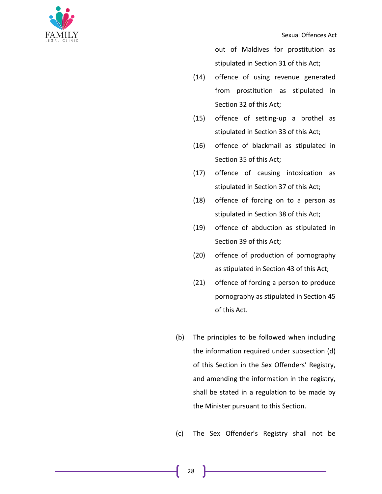

out of Maldives for prostitution as stipulated in Section 31 of this Act;

- (14) offence of using revenue generated from prostitution as stipulated in Section 32 of this Act;
- (15) offence of setting-up a brothel as stipulated in Section 33 of this Act;
- (16) offence of blackmail as stipulated in Section 35 of this Act;
- (17) offence of causing intoxication as stipulated in Section 37 of this Act;
- (18) offence of forcing on to a person as stipulated in Section 38 of this Act;
- (19) offence of abduction as stipulated in Section 39 of this Act;
- (20) offence of production of pornography as stipulated in Section 43 of this Act;
- (21) offence of forcing a person to produce pornography as stipulated in Section 45 of this Act.
- (b) The principles to be followed when including the information required under subsection (d) of this Section in the Sex Offenders' Registry, and amending the information in the registry, shall be stated in a regulation to be made by the Minister pursuant to this Section.
- (c) The Sex Offender's Registry shall not be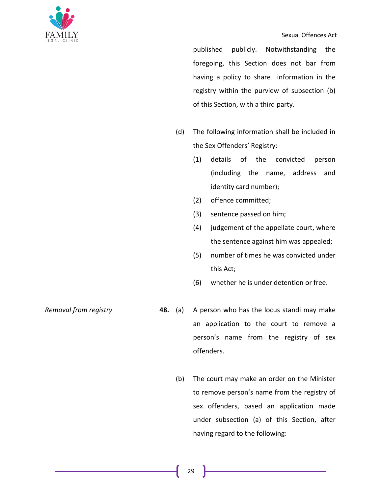

published publicly. Notwithstanding the foregoing, this Section does not bar from having a policy to share information in the registry within the purview of subsection (b) of this Section, with a third party.

- (d) The following information shall be included in the Sex Offenders' Registry:
	- (1) details of the convicted person (including the name, address and identity card number);
	- (2) offence committed;
	- (3) sentence passed on him;
	- (4) judgement of the appellate court, where the sentence against him was appealed;
	- (5) number of times he was convicted under this Act;
	- (6) whether he is under detention or free.

- *Removal from registry* **48.** (a) A person who has the locus standi may make an application to the court to remove a person's name from the registry of sex offenders.
	- (b) The court may make an order on the Minister to remove person's name from the registry of sex offenders, based an application made under subsection (a) of this Section, after having regard to the following: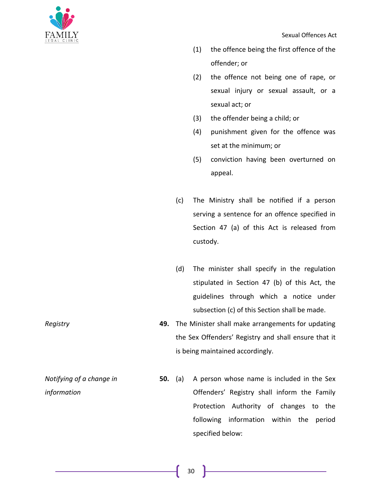

- (1) the offence being the first offence of the offender; or
- (2) the offence not being one of rape, or sexual injury or sexual assault, or a sexual act; or
- (3) the offender being a child; or
- (4) punishment given for the offence was set at the minimum; or
- (5) conviction having been overturned on appeal.
- (c) The Ministry shall be notified if a person serving a sentence for an offence specified in Section 47 (a) of this Act is released from custody.
- (d) The minister shall specify in the regulation stipulated in Section 47 (b) of this Act, the guidelines through which a notice under subsection (c) of this Section shall be made.
- *Registry* **49.** The Minister shall make arrangements for updating the Sex Offenders' Registry and shall ensure that it is being maintained accordingly.
	- **50.** (a) A person whose name is included in the Sex Offenders' Registry shall inform the Family Protection Authority of changes to the following information within the period specified below:

*Notifying of a change in information*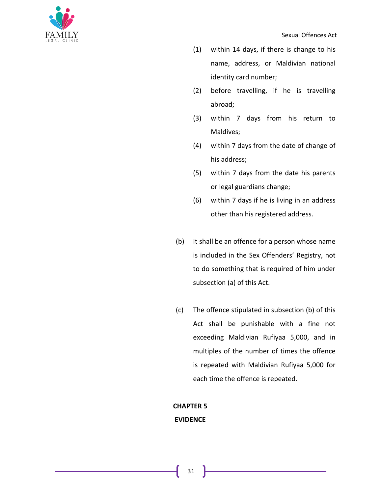

- (1) within 14 days, if there is change to his name, address, or Maldivian national identity card number;
- (2) before travelling, if he is travelling abroad;
- (3) within 7 days from his return to Maldives;
- (4) within 7 days from the date of change of his address;
- (5) within 7 days from the date his parents or legal guardians change;
- (6) within 7 days if he is living in an address other than his registered address.
- (b) It shall be an offence for a person whose name is included in the Sex Offenders' Registry, not to do something that is required of him under subsection (a) of this Act.
- (c) The offence stipulated in subsection (b) of this Act shall be punishable with a fine not exceeding Maldivian Rufiyaa 5,000, and in multiples of the number of times the offence is repeated with Maldivian Rufiyaa 5,000 for each time the offence is repeated.

## **CHAPTER 5 EVIDENCE**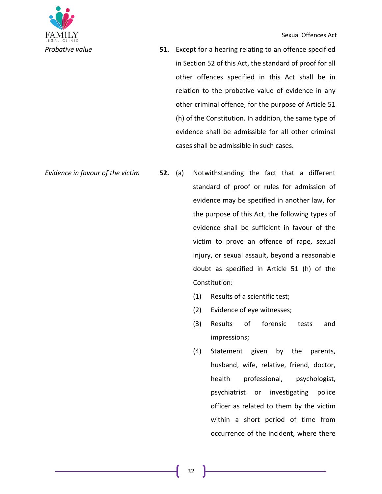

*Probative value* **51.** Except for a hearing relating to an offence specified in Section 52 of this Act, the standard of proof for all other offences specified in this Act shall be in relation to the probative value of evidence in any other criminal offence, for the purpose of Article 51 (h) of the Constitution. In addition, the same type of evidence shall be admissible for all other criminal cases shall be admissible in such cases.

- *Evidence in favour of the victim* **52.** (a) Notwithstanding the fact that a different standard of proof or rules for admission of evidence may be specified in another law, for the purpose of this Act, the following types of evidence shall be sufficient in favour of the victim to prove an offence of rape, sexual injury, or sexual assault, beyond a reasonable doubt as specified in Article 51 (h) of the Constitution:
	- (1) Results of a scientific test;
	- (2) Evidence of eye witnesses;
	- (3) Results of forensic tests and impressions;
	- (4) Statement given by the parents, husband, wife, relative, friend, doctor, health professional, psychologist, psychiatrist or investigating police officer as related to them by the victim within a short period of time from occurrence of the incident, where there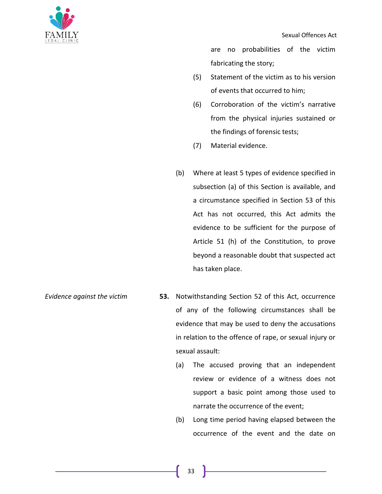

are no probabilities of the victim fabricating the story;

- (5) Statement of the victim as to his version of events that occurred to him;
- (6) Corroboration of the victim's narrative from the physical injuries sustained or the findings of forensic tests;
- (7) Material evidence.
- (b) Where at least 5 types of evidence specified in subsection (a) of this Section is available, and a circumstance specified in Section 53 of this Act has not occurred, this Act admits the evidence to be sufficient for the purpose of Article 51 (h) of the Constitution, to prove beyond a reasonable doubt that suspected act has taken place.
- *Evidence against the victim* **53.** Notwithstanding Section 52 of this Act, occurrence of any of the following circumstances shall be evidence that may be used to deny the accusations in relation to the offence of rape, or sexual injury or sexual assault:
	- (a) The accused proving that an independent review or evidence of a witness does not support a basic point among those used to narrate the occurrence of the event;
	- (b) Long time period having elapsed between the occurrence of the event and the date on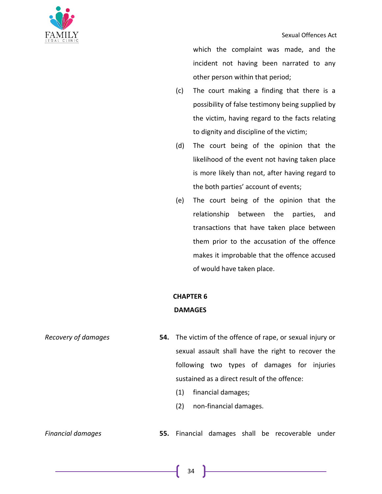



which the complaint was made, and the incident not having been narrated to any other person within that period;

- (c) The court making a finding that there is a possibility of false testimony being supplied by the victim, having regard to the facts relating to dignity and discipline of the victim;
- (d) The court being of the opinion that the likelihood of the event not having taken place is more likely than not, after having regard to the both parties' account of events;
- (e) The court being of the opinion that the relationship between the parties, and transactions that have taken place between them prior to the accusation of the offence makes it improbable that the offence accused of would have taken place.

## **CHAPTER 6 DAMAGES**

- *Recovery of damages* **54.** The victim of the offence of rape, or sexual injury or sexual assault shall have the right to recover the following two types of damages for injuries sustained as a direct result of the offence: (1) financial damages;
	- (2) non-financial damages.

*Financial damages* **55.** Financial damages shall be recoverable under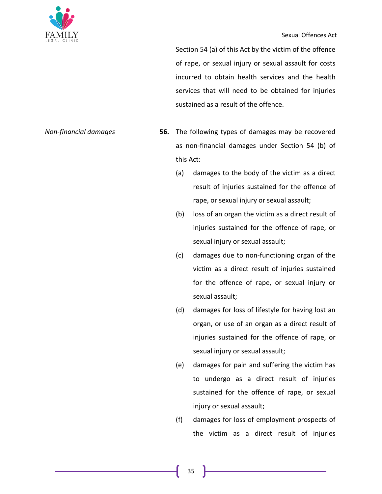

Section 54 (a) of this Act by the victim of the offence of rape, or sexual injury or sexual assault for costs incurred to obtain health services and the health services that will need to be obtained for injuries sustained as a result of the offence.

- *Non-financial damages* **56.** The following types of damages may be recovered as non-financial damages under Section 54 (b) of this Act:
	- (a) damages to the body of the victim as a direct result of injuries sustained for the offence of rape, or sexual injury or sexual assault;
	- (b) loss of an organ the victim as a direct result of injuries sustained for the offence of rape, or sexual injury or sexual assault;
	- (c) damages due to non-functioning organ of the victim as a direct result of injuries sustained for the offence of rape, or sexual injury or sexual assault;
	- (d) damages for loss of lifestyle for having lost an organ, or use of an organ as a direct result of injuries sustained for the offence of rape, or sexual injury or sexual assault;
	- (e) damages for pain and suffering the victim has to undergo as a direct result of injuries sustained for the offence of rape, or sexual injury or sexual assault;
	- (f) damages for loss of employment prospects of the victim as a direct result of injuries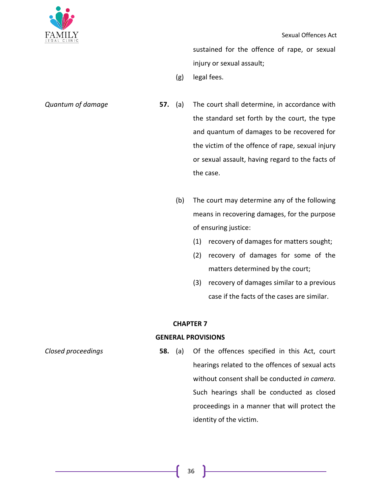

sustained for the offence of rape, or sexual injury or sexual assault;

(g) legal fees.

- 
- *Quantum of damage* **57.** (a) The court shall determine, in accordance with the standard set forth by the court, the type and quantum of damages to be recovered for the victim of the offence of rape, sexual injury or sexual assault, having regard to the facts of the case.
	- (b) The court may determine any of the following means in recovering damages, for the purpose of ensuring justice:
		- (1) recovery of damages for matters sought;
		- (2) recovery of damages for some of the matters determined by the court;
		- (3) recovery of damages similar to a previous case if the facts of the cases are similar.

#### **CHAPTER 7**

### **GENERAL PROVISIONS**

*Closed proceedings* **58.** (a) Of the offences specified in this Act, court hearings related to the offences of sexual acts without consent shall be conducted *in camera*. Such hearings shall be conducted as closed proceedings in a manner that will protect the identity of the victim.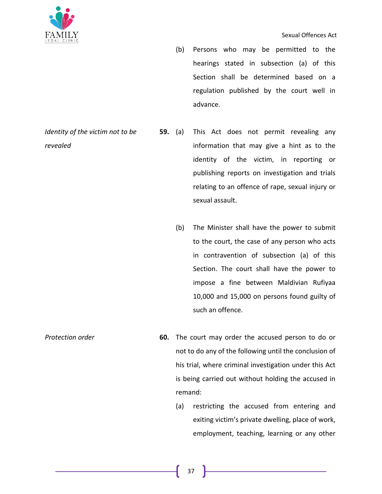

- (b) Persons who may be permitted to the hearings stated in subsection (a) of this Section shall be determined based on a regulation published by the court well in advance.
- **59.** (a) This Act does not permit revealing any information that may give a hint as to the identity of the victim, in reporting or publishing reports on investigation and trials relating to an offence of rape, sexual injury or sexual assault.
	- (b) The Minister shall have the power to submit to the court, the case of any person who acts in contravention of subsection (a) of this Section. The court shall have the power to impose a fine between Maldivian Rufiyaa 10,000 and 15,000 on persons found guilty of such an offence.
- *Protection order* **60.** The court may order the accused person to do or not to do any of the following until the conclusion of his trial, where criminal investigation under this Act is being carried out without holding the accused in remand:
	- (a) restricting the accused from entering and exiting victim's private dwelling, place of work, employment, teaching, learning or any other

*Identity of the victim not to be revealed*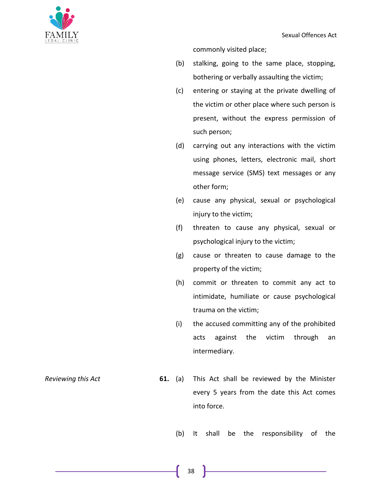

commonly visited place;

- (b) stalking, going to the same place, stopping, bothering or verbally assaulting the victim;
- (c) entering or staying at the private dwelling of the victim or other place where such person is present, without the express permission of such person;
- (d) carrying out any interactions with the victim using phones, letters, electronic mail, short message service (SMS) text messages or any other form;
- (e) cause any physical, sexual or psychological injury to the victim;
- (f) threaten to cause any physical, sexual or psychological injury to the victim;
- (g) cause or threaten to cause damage to the property of the victim;
- (h) commit or threaten to commit any act to intimidate, humiliate or cause psychological trauma on the victim;
- (i) the accused committing any of the prohibited acts against the victim through an intermediary.

- *Reviewing this Act* **61.** (a) This Act shall be reviewed by the Minister every 5 years from the date this Act comes into force.
	- (b) It shall be the responsibility of the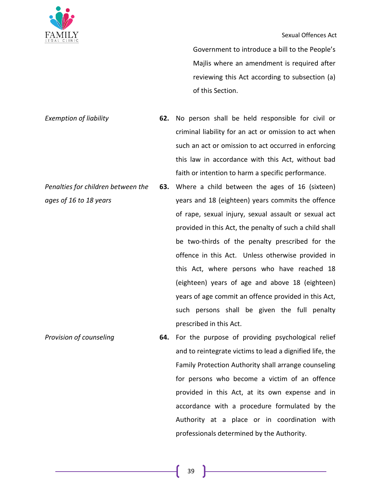

#### Sexual Offences Act

Government to introduce a bill to the People's Majlis where an amendment is required after reviewing this Act according to subsection (a) of this Section.

*Exemption of liability* **62.** No person shall be held responsible for civil or criminal liability for an act or omission to act when such an act or omission to act occurred in enforcing this law in accordance with this Act, without bad faith or intention to harm a specific performance.

- *Penalties for children between the ages of 16 to 18 years* **63.** Where a child between the ages of 16 (sixteen) years and 18 (eighteen) years commits the offence of rape, sexual injury, sexual assault or sexual act provided in this Act, the penalty of such a child shall be two-thirds of the penalty prescribed for the offence in this Act. Unless otherwise provided in this Act, where persons who have reached 18 (eighteen) years of age and above 18 (eighteen) years of age commit an offence provided in this Act, such persons shall be given the full penalty prescribed in this Act.
- *Provision of counseling* **64.** For the purpose of providing psychological relief and to reintegrate victims to lead a dignified life, the Family Protection Authority shall arrange counseling for persons who become a victim of an offence provided in this Act, at its own expense and in accordance with a procedure formulated by the Authority at a place or in coordination with professionals determined by the Authority.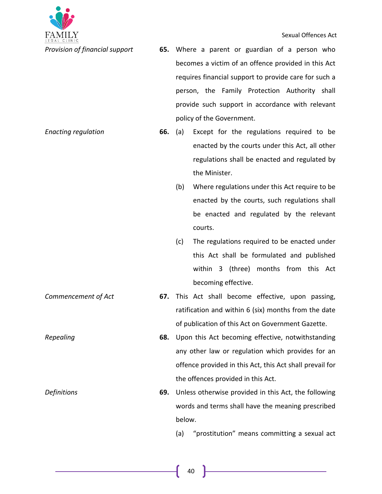

Sexual Offences Act

- *Provision of financial support* **65.** Where a parent or guardian of a person who becomes a victim of an offence provided in this Act requires financial support to provide care for such a person, the Family Protection Authority shall provide such support in accordance with relevant policy of the Government.
- *Enacting regulation* **66.** (a) Except for the regulations required to be enacted by the courts under this Act, all other regulations shall be enacted and regulated by the Minister.
	- (b) Where regulations under this Act require to be enacted by the courts, such regulations shall be enacted and regulated by the relevant courts.
	- (c) The regulations required to be enacted under this Act shall be formulated and published within 3 (three) months from this Act becoming effective.
- *Commencement of Act* **67.** This Act shall become effective, upon passing, ratification and within 6 (six) months from the date of publication of this Act on Government Gazette.
- *Repealing* **68.** Upon this Act becoming effective, notwithstanding any other law or regulation which provides for an offence provided in this Act, this Act shall prevail for the offences provided in this Act.
- *Definitions* **69.** Unless otherwise provided in this Act, the following words and terms shall have the meaning prescribed below.
	- (a) "prostitution" means committing a sexual act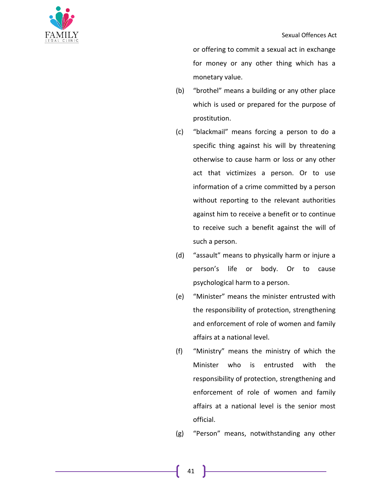

or offering to commit a sexual act in exchange for money or any other thing which has a monetary value.

- (b) "brothel" means a building or any other place which is used or prepared for the purpose of prostitution.
- (c) "blackmail" means forcing a person to do a specific thing against his will by threatening otherwise to cause harm or loss or any other act that victimizes a person. Or to use information of a crime committed by a person without reporting to the relevant authorities against him to receive a benefit or to continue to receive such a benefit against the will of such a person.
- (d) "assault" means to physically harm or injure a person's life or body. Or to cause psychological harm to a person.
- (e) "Minister" means the minister entrusted with the responsibility of protection, strengthening and enforcement of role of women and family affairs at a national level.
- (f) "Ministry" means the ministry of which the Minister who is entrusted with the responsibility of protection, strengthening and enforcement of role of women and family affairs at a national level is the senior most official.

(g) "Person" means, notwithstanding any other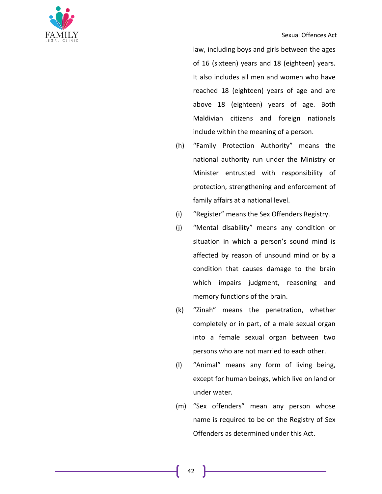



law, including boys and girls between the ages of 16 (sixteen) years and 18 (eighteen) years. It also includes all men and women who have reached 18 (eighteen) years of age and are above 18 (eighteen) years of age. Both Maldivian citizens and foreign nationals include within the meaning of a person.

- (h) "Family Protection Authority" means the national authority run under the Ministry or Minister entrusted with responsibility of protection, strengthening and enforcement of family affairs at a national level.
- (i) "Register" means the Sex Offenders Registry.
- (j) "Mental disability" means any condition or situation in which a person's sound mind is affected by reason of unsound mind or by a condition that causes damage to the brain which impairs judgment, reasoning and memory functions of the brain.
- (k) "Zinah" means the penetration, whether completely or in part, of a male sexual organ into a female sexual organ between two persons who are not married to each other.
- (l) "Animal" means any form of living being, except for human beings, which live on land or under water.
- (m) "Sex offenders" mean any person whose name is required to be on the Registry of Sex Offenders as determined under this Act.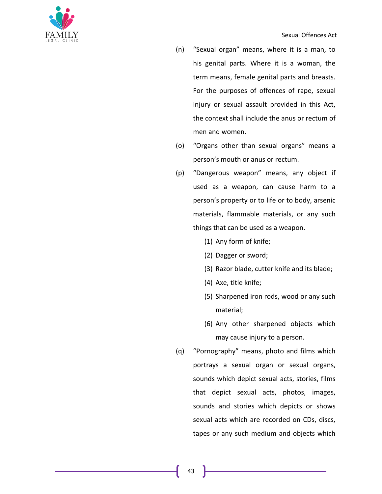

- (n) "Sexual organ" means, where it is a man, to his genital parts. Where it is a woman, the term means, female genital parts and breasts. For the purposes of offences of rape, sexual injury or sexual assault provided in this Act, the context shall include the anus or rectum of men and women.
- (o) "Organs other than sexual organs" means a person's mouth or anus or rectum.
- (p) "Dangerous weapon" means, any object if used as a weapon, can cause harm to a person's property or to life or to body, arsenic materials, flammable materials, or any such things that can be used as a weapon.
	- (1) Any form of knife;
	- (2) Dagger or sword;
	- (3) Razor blade, cutter knife and its blade;
	- (4) Axe, title knife;
	- (5) Sharpened iron rods, wood or any such material;
	- (6) Any other sharpened objects which may cause injury to a person.
- (q) "Pornography" means, photo and films which portrays a sexual organ or sexual organs, sounds which depict sexual acts, stories, films that depict sexual acts, photos, images, sounds and stories which depicts or shows sexual acts which are recorded on CDs, discs, tapes or any such medium and objects which